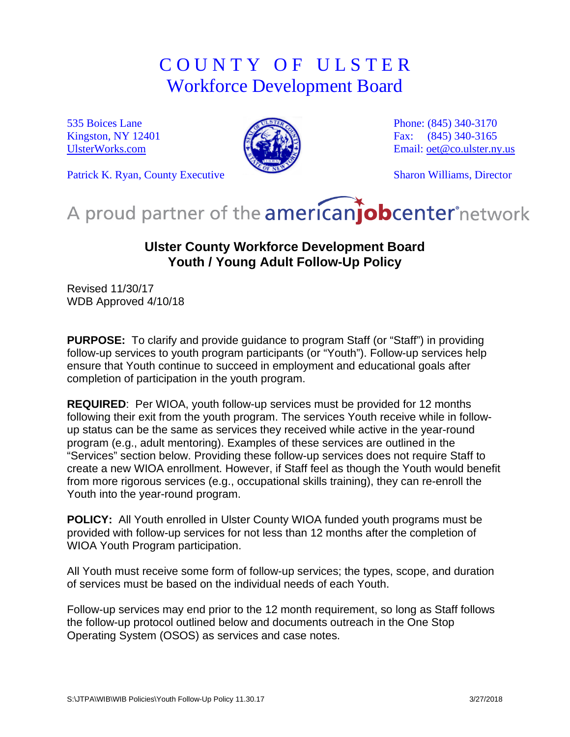## C O U N T Y O F U L S T E R Workforce Development Board

535 Boices Lane Kingston, NY 12401 [UlsterWorks.com](http://www.ulsterworks.com/)



Phone: (845) 340-3170 Fax: (845) 340-3165 Email: [oet@co.ulster.ny.us](mailto:oet@co.ulster.ny.us)

Sharon Williams, Director

Patrick K. Ryan, County Executive

# A proud partner of the americanjobcenter network

### **Ulster County Workforce Development Board Youth / Young Adult Follow-Up Policy**

Revised 11/30/17 WDB Approved 4/10/18

**PURPOSE:** To clarify and provide guidance to program Staff (or "Staff") in providing follow-up services to youth program participants (or "Youth"). Follow-up services help ensure that Youth continue to succeed in employment and educational goals after completion of participation in the youth program.

**REQUIRED**: Per WIOA, youth follow-up services must be provided for 12 months following their exit from the youth program. The services Youth receive while in followup status can be the same as services they received while active in the year-round program (e.g., adult mentoring). Examples of these services are outlined in the "Services" section below. Providing these follow-up services does not require Staff to create a new WIOA enrollment. However, if Staff feel as though the Youth would benefit from more rigorous services (e.g., occupational skills training), they can re-enroll the Youth into the year-round program.

**POLICY:** All Youth enrolled in Ulster County WIOA funded youth programs must be provided with follow-up services for not less than 12 months after the completion of WIOA Youth Program participation.

All Youth must receive some form of follow-up services; the types, scope, and duration of services must be based on the individual needs of each Youth.

Follow-up services may end prior to the 12 month requirement, so long as Staff follows the follow-up protocol outlined below and documents outreach in the One Stop Operating System (OSOS) as services and case notes.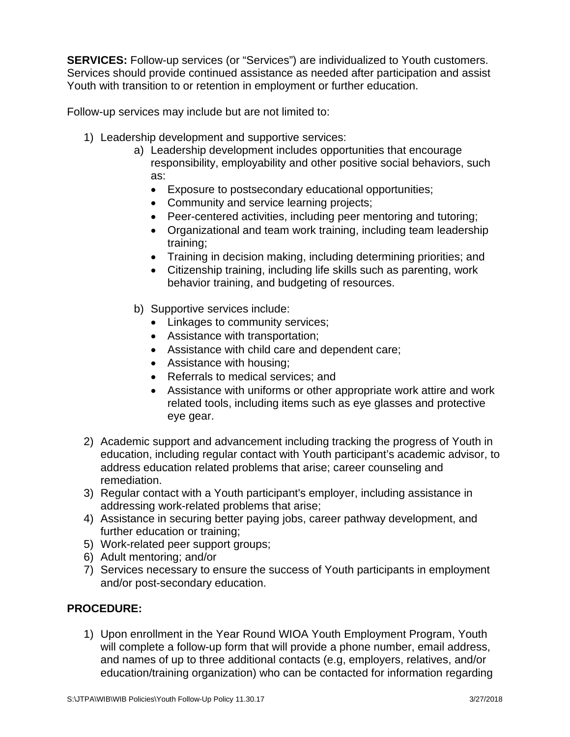**SERVICES:** Follow-up services (or "Services") are individualized to Youth customers. Services should provide continued assistance as needed after participation and assist Youth with transition to or retention in employment or further education.

Follow-up services may include but are not limited to:

- 1) Leadership development and supportive services:
	- a) Leadership development includes opportunities that encourage responsibility, employability and other positive social behaviors, such as:
		- Exposure to postsecondary educational opportunities;
		- Community and service learning projects;
		- Peer-centered activities, including peer mentoring and tutoring;
		- Organizational and team work training, including team leadership training;
		- Training in decision making, including determining priorities; and
		- Citizenship training, including life skills such as parenting, work behavior training, and budgeting of resources.
	- b) Supportive services include:
		- Linkages to community services;
		- Assistance with transportation;
		- Assistance with child care and dependent care;
		- Assistance with housing;
		- Referrals to medical services; and
		- Assistance with uniforms or other appropriate work attire and work related tools, including items such as eye glasses and protective eye gear.
- 2) Academic support and advancement including tracking the progress of Youth in education, including regular contact with Youth participant's academic advisor, to address education related problems that arise; career counseling and remediation.
- 3) Regular contact with a Youth participant's employer, including assistance in addressing work-related problems that arise;
- 4) Assistance in securing better paying jobs, career pathway development, and further education or training;
- 5) Work-related peer support groups;
- 6) Adult mentoring; and/or
- 7) Services necessary to ensure the success of Youth participants in employment and/or post-secondary education.

#### **PROCEDURE:**

1) Upon enrollment in the Year Round WIOA Youth Employment Program, Youth will complete a follow-up form that will provide a phone number, email address, and names of up to three additional contacts (e.g, employers, relatives, and/or education/training organization) who can be contacted for information regarding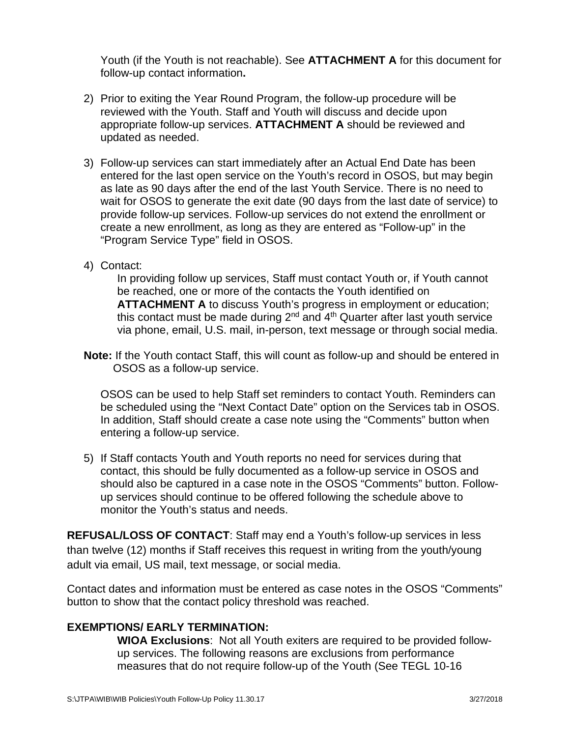Youth (if the Youth is not reachable). See **ATTACHMENT A** for this document for follow-up contact information**.**

- 2) Prior to exiting the Year Round Program, the follow-up procedure will be reviewed with the Youth. Staff and Youth will discuss and decide upon appropriate follow-up services. **ATTACHMENT A** should be reviewed and updated as needed.
- 3) Follow-up services can start immediately after an Actual End Date has been entered for the last open service on the Youth's record in OSOS, but may begin as late as 90 days after the end of the last Youth Service. There is no need to wait for OSOS to generate the exit date (90 days from the last date of service) to provide follow-up services. Follow-up services do not extend the enrollment or create a new enrollment, as long as they are entered as "Follow-up" in the "Program Service Type" field in OSOS.
- 4) Contact:

In providing follow up services, Staff must contact Youth or, if Youth cannot be reached, one or more of the contacts the Youth identified on **ATTACHMENT A** to discuss Youth's progress in employment or education; this contact must be made during  $2^{nd}$  and  $4^{th}$  Quarter after last youth service via phone, email, U.S. mail, in-person, text message or through social media.

**Note:** If the Youth contact Staff, this will count as follow-up and should be entered in OSOS as a follow-up service.

OSOS can be used to help Staff set reminders to contact Youth. Reminders can be scheduled using the "Next Contact Date" option on the Services tab in OSOS. In addition, Staff should create a case note using the "Comments" button when entering a follow-up service.

5) If Staff contacts Youth and Youth reports no need for services during that contact, this should be fully documented as a follow-up service in OSOS and should also be captured in a case note in the OSOS "Comments" button. Followup services should continue to be offered following the schedule above to monitor the Youth's status and needs.

**REFUSAL/LOSS OF CONTACT**: Staff may end a Youth's follow-up services in less than twelve (12) months if Staff receives this request in writing from the youth/young adult via email, US mail, text message, or social media.

Contact dates and information must be entered as case notes in the OSOS "Comments" button to show that the contact policy threshold was reached.

#### **EXEMPTIONS/ EARLY TERMINATION:**

**WIOA Exclusions**: Not all Youth exiters are required to be provided followup services. The following reasons are exclusions from performance measures that do not require follow-up of the Youth (See TEGL 10-16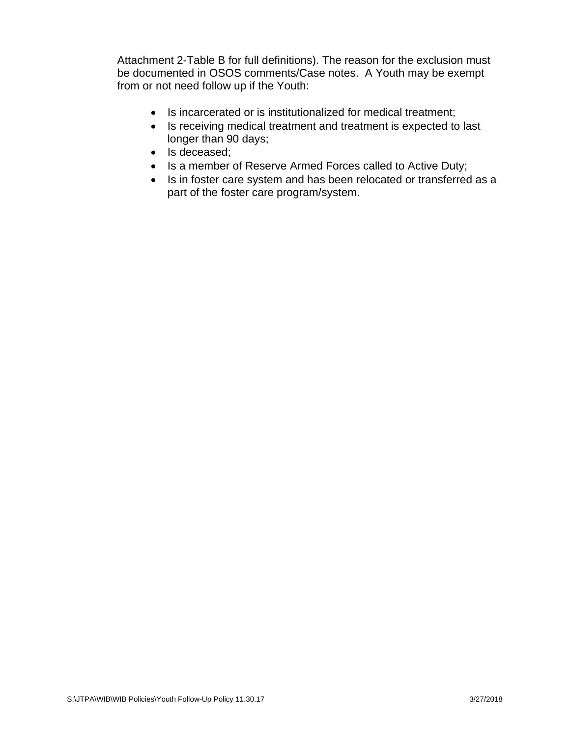Attachment 2-Table B for full definitions). The reason for the exclusion must be documented in OSOS comments/Case notes. A Youth may be exempt from or not need follow up if the Youth:

- Is incarcerated or is institutionalized for medical treatment;
- Is receiving medical treatment and treatment is expected to last longer than 90 days;
- Is deceased;
- Is a member of Reserve Armed Forces called to Active Duty;
- Is in foster care system and has been relocated or transferred as a part of the foster care program/system.